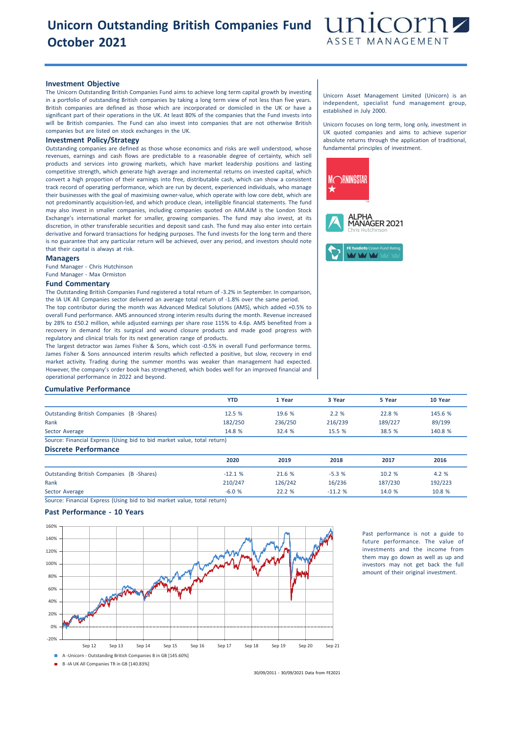## **Unicorn Outstanding British Companies Fund October 2021**



### **Investment Objective**

The Unicorn Outstanding British Companies Fund aims to achieve long term capital growth by investing in a portfolio of outstanding British companies by taking a long term view of not less than five years. British companies are defined as those which are incorporated or domiciled in the UK or have a significant part of their operations in the UK. At least 80% of the companies that the Fund invests into will be British companies. The Fund can also invest into companies that are not otherwise British companies but are listed on stock exchanges in the UK.

## **Investment Policy/Strategy**

Outstanding companies are defined as those whose economics and risks are well understood, whose revenues, earnings and cash flows are predictable to a reasonable degree of certainty, which sell products and services into growing markets, which have market leadership positions and lasting competitive strength, which generate high average and incremental returns on invested capital, which convert a high proportion of their earnings into free, distributable cash, which can show a consistent track record of operating performance, which are run by decent, experienced individuals, who manage their businesses with the goal of maximising owner-value, which operate with low core debt, which are not predominantly acquisition-led, and which produce clean, intelligible financial statements. The fund may also invest in smaller companies, including companies quoted on AIM.AIM is the London Stock Exchange's international market for smaller, growing companies. The fund may also invest, at its discretion, in other transferable securities and deposit sand cash. The fund may also enter into certain derivative and forward transactions for hedging purposes. The fund invests for the long term and there is no guarantee that any particular return will be achieved, over any period, and investors should note that their capital is always at risk.

#### **Managers**

Fund Manager - Chris Hutchinson Fund Manager - Max Ormiston

#### **Fund Commentary**

The Outstanding British Companies Fund registered a total return of -3.2% in September. In comparison, the IA UK All Companies sector delivered an average total return of -1.8% over the same period. The top contributor during the month was Advanced Medical Solutions (AMS), which added +0.5% to overall Fund performance. AMS announced strong interim results during the month. Revenue increased by 28% to £50.2 million, while adjusted earnings per share rose 115% to 4.6p. AMS benefited from a recovery in demand for its surgical and wound closure products and made good progress with regulatory and clinical trials for its next generation range of products.

The largest detractor was James Fisher & Sons, which cost -0.5% in overall Fund performance terms. James Fisher & Sons announced interim results which reflected a positive, but slow, recovery in end market activity. Trading during the summer months was weaker than management had expected. However, the company's order book has strengthened, which bodes well for an improved financial and operational performance in 2022 and beyond.

Unicorn Asset Management Limited (Unicorn) is an independent, specialist fund management group, established in July 2000.

Unicorn focuses on long term, long only, investment in UK quoted companies and aims to achieve superior absolute returns through the application of traditional, fundamental principles of investment.



#### **Cumulative Performance**

|                                                                         | YTD     | 1 Year  | 3 Year  | 5 Year  | 10 Year |
|-------------------------------------------------------------------------|---------|---------|---------|---------|---------|
| <b>Outstanding British Companies (B-Shares)</b>                         | 12.5 %  | 19.6 %  | 2.2%    | 22.8%   | 145.6 % |
| Rank                                                                    | 182/250 | 236/250 | 216/239 | 189/227 | 89/199  |
| Sector Average                                                          | 14.8 %  | 32.4 %  | 15.5%   | 38.5 %  | 140.8 % |
| Source: Financial Express (Using bid to bid market value, total return) |         |         |         |         |         |
| <b>Discrete Performance</b>                                             |         |         |         |         |         |

|                                          | 2020     | 2019    | 2018     | 2017    | 2016    |
|------------------------------------------|----------|---------|----------|---------|---------|
| Outstanding British Companies (B-Shares) | $-12.1%$ | 21.6 %  | $-5.3%$  | 10.2 %  | 4.2 %   |
| Rank                                     | 210/247  | 126/242 | 16/236   | 187/230 | 192/223 |
| Sector Average                           | $-6.0%$  | 22.2 %  | $-11.2%$ | 14.0 %  | 10.8 %  |

Source: Financial Express (Using bid to bid market value, total return)

### **Past Performance - 10 Years**



Past performance is not a guide to future performance. The value of investments and the income from them may go down as well as up and investors may not get back the full amount of their original investment.

30/09/2011 - 30/09/2021 Data from FE2021